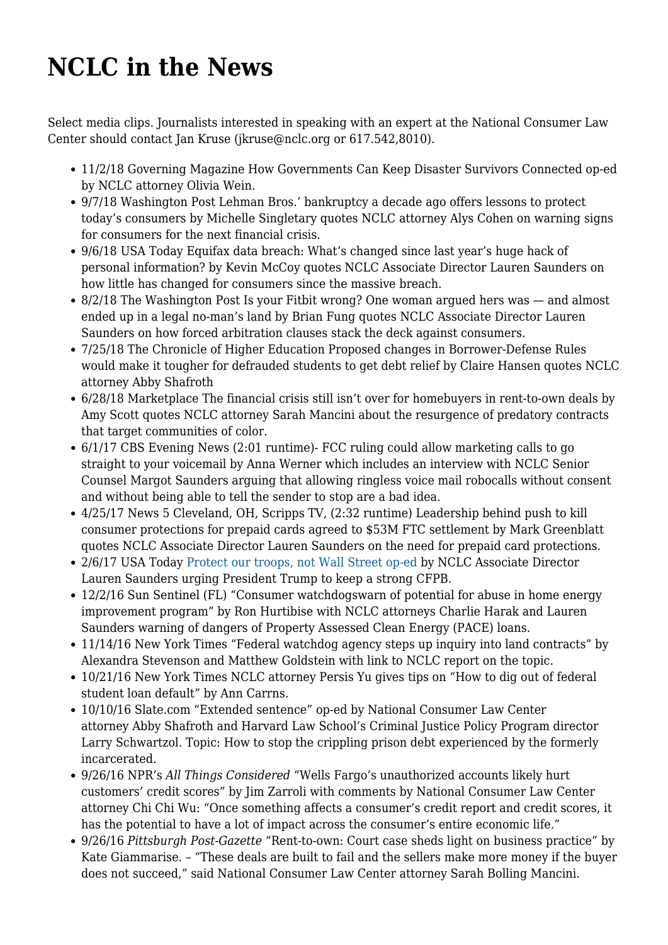## **[NCLC in the News](https://www.nclc.org/news-archive/nclc-in-the-news.html)**

Select media clips. Journalists interested in speaking with an expert at the National Consumer Law Center should contact Jan Kruse ([jkruse@nclc.org](mailto:jkruse@nclc.org) or 617.542,8010).

- 11/2/18 Governing Magazine [How Governments Can Keep Disaster Survivors Connected](http://www.governing.com/gov-institute/voices/col-how-government-can-keep-disaster-survivors-connected.html) op-ed by NCLC attorney Olivia Wein.
- 9/7/18 Washington Post [Lehman Bros.' bankruptcy a decade ago offers lessons to protect](https://www.washingtonpost.com/business/lehman-bros-bankruptcy-a-decade-ago-offers-lessons-to-protect-todays-consumer/2018/09/07/84a80e72-b22e-11e8-9a6a-565d92a3585d_story.html?utm_term=.c32b56d61ad0) [today's consumers](https://www.washingtonpost.com/business/lehman-bros-bankruptcy-a-decade-ago-offers-lessons-to-protect-todays-consumer/2018/09/07/84a80e72-b22e-11e8-9a6a-565d92a3585d_story.html?utm_term=.c32b56d61ad0) by Michelle Singletary quotes NCLC attorney Alys Cohen on warning signs for consumers for the next financial crisis.
- 9/6/18 USA Today [Equifax data breach: What's changed since last year's huge hack of](https://www.usatoday.com/story/money/2018/09/06/equifax-cyberattack-consumer-criticism-business-optimism-first-anniversary/1146597002/) [personal information?](https://www.usatoday.com/story/money/2018/09/06/equifax-cyberattack-consumer-criticism-business-optimism-first-anniversary/1146597002/) by Kevin McCoy quotes NCLC Associate Director Lauren Saunders on how little has changed for consumers since the massive breach.
- 8/2/18 The Washington Post [Is your Fitbit wrong? One woman argued hers was and almost](https://www.washingtonpost.com/technology/2018/08/02/is-your-fitbit-wrong-one-woman-argued-it-was-almost-ended-up-legal-no-mans-land/?noredirect=on) [ended up in a legal no-man's land](https://www.washingtonpost.com/technology/2018/08/02/is-your-fitbit-wrong-one-woman-argued-it-was-almost-ended-up-legal-no-mans-land/?noredirect=on) by Brian Fung quotes NCLC Associate Director Lauren Saunders on how forced arbitration clauses stack the deck against consumers.
- 7/25/18 The Chronicle of Higher Education [Proposed changes in Borrower-Defense Rules](https://www.chronicle.com/article/Proposed-Changes-in/244017/#.W1jeHidxCag.twitter) [would make it tougher for defrauded students to get debt relief](https://www.chronicle.com/article/Proposed-Changes-in/244017/#.W1jeHidxCag.twitter) by Claire Hansen quotes NCLC attorney Abby Shafroth
- 6/28/18 Marketplace [The financial crisis still isn't over for homebuyers in rent-to-own deals](https://www.marketplace.org/2018/06/28/economy/financial-crisis-still-isnt-over-homebuyers-rent-own-deals) by Amy Scott quotes NCLC attorney Sarah Mancini about the resurgence of predatory contracts that target communities of color.
- 6/1/17 CBS Evening News (2:01 runtime)- [FCC ruling could allow marketing calls to go](http://www.cbsnews.com/news/ringless-marketing-calls-robocalls-voicemails-fcc/) [straight to your voicemail](http://www.cbsnews.com/news/ringless-marketing-calls-robocalls-voicemails-fcc/) by Anna Werner which includes an interview with NCLC Senior Counsel Margot Saunders arguing that allowing ringless voice mail robocalls without consent and without being able to tell the sender to stop are a bad idea.
- 4/25/17 News 5 Cleveland, OH, Scripps TV, (2:32 runtime) [Leadership behind push to kill](http://www.news5cleveland.com/news/national/leadership-behind-push-to-kill-consumer-protections-for-prepaid-cards-agreed-to-53m-ftc-settlement) [consumer protections for prepaid cards agreed to \\$53M FTC settlement](http://www.news5cleveland.com/news/national/leadership-behind-push-to-kill-consumer-protections-for-prepaid-cards-agreed-to-53m-ftc-settlement) by Mark Greenblatt quotes NCLC Associate Director Lauren Saunders on the need for prepaid card protections.
- 2/6/17 USA Today [Protect our troops, not Wall Street op-ed](http://www.usatoday.com/story/opinion/2017/02/07/donald-trump-should-keep-richard-cordray-consumer-financial-protection-bureau-column/97559294/) by NCLC Associate Director Lauren Saunders urging President Trump to keep a strong CFPB.
- 12/2/16 Sun Sentinel (FL) ["Consumer watchdogswarn of potential for abuse in home energy](http://www.sun-sentinel.com/business/consumer/fl-pace-financing-warnings-20161201-story.html) [improvement program"](http://www.sun-sentinel.com/business/consumer/fl-pace-financing-warnings-20161201-story.html) by Ron Hurtibise with NCLC attorneys Charlie Harak and Lauren Saunders warning of dangers of Property Assessed Clean Energy (PACE) loans.
- 11/14/16 New York Times "Federal watchdog agency steps up inquiry into land contracts" by Alexandra Stevenson and Matthew Goldstein with link to [NCLC report on the topic](http://www.nytimes.com/2016/11/15/business/dealbook/federal-watchdog-agency-steps-up-inquiry-into-home-contracts.html).
- 10/21/16 New York Times NCLC attorney Persis Yu gives tips on ["How to dig out of federal](http://www.nytimes.com/2016/10/22/your-money/how-to-dig-out-of-federal-student-loan-default.html) [student loan default"](http://www.nytimes.com/2016/10/22/your-money/how-to-dig-out-of-federal-student-loan-default.html) by Ann Carrns.
- 10/10/16 Slate.com ["Extended sentence"](http://www.slate.com/articles/news_and_politics/jurisprudence/2016/10/the_burden_of_prison_debt_on_the_formerly_incarcerated.html) op-ed by National Consumer Law Center attorney [Abby Shafroth](https://www.nclc.org/about-us/abby-shafroth.html) and Harvard Law School's Criminal Justice Policy Program director Larry Schwartzol. Topic: How to stop the crippling prison debt experienced by the formerly incarcerated.
- 9/26/16 NPR's *All Things Considered* ["Wells Fargo's unauthorized accounts likely hurt](http://www.npr.org/2016/09/26/495501008/wells-fargos-unauthorized-accounts-likely-hurt-customers-credit-scores) [customers' credit scores"](http://www.npr.org/2016/09/26/495501008/wells-fargos-unauthorized-accounts-likely-hurt-customers-credit-scores) by Jim Zarroli with comments by National Consumer Law Center attorney [Chi Chi Wu](https://www.nclc.org/about-us/chi-chi-wu.html): "Once something affects a consumer's credit report and credit scores, it has the potential to have a lot of impact across the consumer's entire economic life."
- 9/26/16 *Pittsburgh Post-Gazette* ["Rent-to-own: Court case sheds light on business practice"](https://www.nclc.org/%E2%80%8Bhttp:/www.post-gazette.com/business/money/2016/09/26/Rent-to-own-Court-case-sheds-light-on-business-practice/stories/201609260002%E2%80%8B) by Kate Giammarise. – "These deals are built to fail and the sellers make more money if the buyer does not succeed," said National Consumer Law Center attorney [Sarah Bolling Mancini.](https://www.nclc.org/about-us/sarah-bolling-mancini.html)